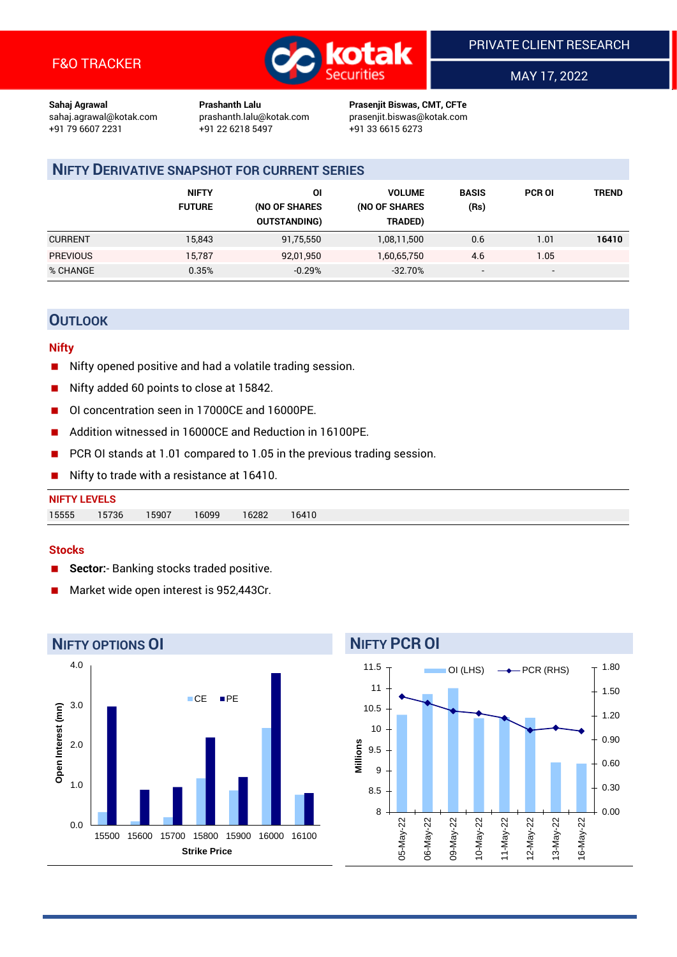

MAY 17, 2022

**Sahaj Agrawal Prashanth Lalu Prasenjit Biswas, CMT, CFTe** +91 22 6218 5497 +91 33 6615 6273

sahaj.agrawal@kotak.com [prashanth.lalu@kotak.com](mailto:prashanth.lalu@kotak.com) prasenjit.biswas@kotak.com

# **NIFTY DERIVATIVE SNAPSHOT FOR CURRENT SERIES**

|                 | <b>NIFTY</b><br><b>FUTURE</b> | ΟI<br>(NO OF SHARES<br><b>OUTSTANDING)</b> | <b>VOLUME</b><br>(NO OF SHARES<br>TRADED) | <b>BASIS</b><br>(Rs)     | <b>PCR OI</b> | TREND |
|-----------------|-------------------------------|--------------------------------------------|-------------------------------------------|--------------------------|---------------|-------|
| <b>CURRENT</b>  | 15,843                        | 91,75,550                                  | 1,08,11,500                               | 0.6                      | 1.01          | 16410 |
| <b>PREVIOUS</b> | 15,787                        | 92,01,950                                  | 1,60,65,750                               | 4.6                      | 1.05          |       |
| % CHANGE        | 0.35%                         | $-0.29%$                                   | $-32.70%$                                 | $\overline{\phantom{a}}$ | -             |       |

## **OUTLOOK**

#### **Nifty**

- Nifty opened positive and had a volatile trading session.
- Nifty added 60 points to close at 15842.
- OI concentration seen in 17000CE and 16000PE.
- Addition witnessed in 16000CE and Reduction in 16100PE.
- PCR OI stands at 1.01 compared to 1.05 in the previous trading session.
- Nifty to trade with a resistance at 16410.

| 15555 | 15736 | 15907 | 16099 | 16282 | 16410 |
|-------|-------|-------|-------|-------|-------|

#### **Stocks**

- **Sector:** Banking stocks traded positive.
- Market wide open interest is 952,443Cr.



# **NIFTY PCR OI**

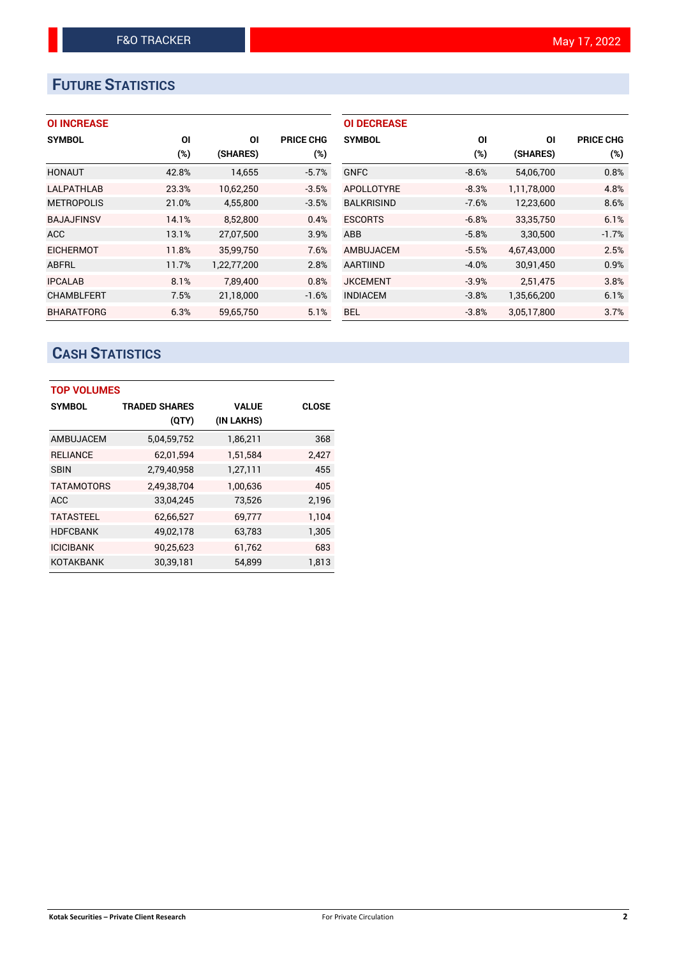# **FUTURE STATISTICS**

## **OI INCREASE**

| <b>SYMBOL</b>     | ΟI    | ΟI          | <b>PRICE CHG</b> |
|-------------------|-------|-------------|------------------|
|                   | (%)   | (SHARES)    | $(\%)$           |
| <b>HONAUT</b>     | 42.8% | 14,655      | $-5.7%$          |
| <b>LALPATHLAB</b> | 23.3% | 10,62,250   | $-3.5%$          |
| <b>METROPOLIS</b> | 21.0% | 4,55,800    | $-3.5%$          |
| <b>BAJAJFINSV</b> | 14.1% | 8,52,800    | 0.4%             |
| <b>ACC</b>        | 13.1% | 27,07,500   | 3.9%             |
| <b>EICHERMOT</b>  | 11.8% | 35.99.750   | 7.6%             |
| ABFRL             | 11.7% | 1,22,77,200 | 2.8%             |
| <b>IPCALAB</b>    | 8.1%  | 7,89,400    | 0.8%             |
| <b>CHAMBLFERT</b> | 7.5%  | 21,18,000   | $-1.6%$          |
| <b>BHARATFORG</b> | 6.3%  | 59.65.750   | 5.1%             |

| <b>OI DECREASE</b> |         |             |                  |
|--------------------|---------|-------------|------------------|
| <b>SYMBOL</b>      | ΟI      | ΟI          | <b>PRICE CHG</b> |
|                    | $(\%)$  | (SHARES)    | $(\%)$           |
| <b>GNFC</b>        | $-8.6%$ | 54,06,700   | 0.8%             |
| APOLLOTYRE         | $-8.3%$ | 1,11,78,000 | 4.8%             |
| <b>BALKRISIND</b>  | $-7.6%$ | 12,23,600   | 8.6%             |
| <b>ESCORTS</b>     | $-6.8%$ | 33,35,750   | 6.1%             |
| ABB                | $-5.8%$ | 3,30,500    | $-1.7%$          |
| AMBUJACEM          | $-5.5%$ | 4,67,43,000 | 2.5%             |
| <b>AARTIIND</b>    | $-4.0%$ | 30,91,450   | 0.9%             |
| <b>JKCEMENT</b>    | $-3.9%$ | 2,51,475    | 3.8%             |
| <b>INDIACEM</b>    | $-3.8%$ | 1,35,66,200 | 6.1%             |
| BEL.               | $-3.8%$ | 3,05,17,800 | 3.7%             |

# **CASH STATISTICS**

| <b>TOP VOLUMES</b> |                      |              |              |
|--------------------|----------------------|--------------|--------------|
| <b>SYMBOL</b>      | <b>TRADED SHARES</b> | <b>VALUE</b> | <b>CLOSE</b> |
|                    | (QTY)                | (IN LAKHS)   |              |
| AMBUJACEM          | 5,04,59,752          | 1,86,211     | 368          |
| <b>RELIANCE</b>    | 62,01,594            | 1,51,584     | 2,427        |
| <b>SBIN</b>        | 2,79,40,958          | 1,27,111     | 455          |
| <b>TATAMOTORS</b>  | 2,49,38,704          | 1,00,636     | 405          |
| <b>ACC</b>         | 33,04,245            | 73,526       | 2,196        |
| <b>TATASTEEL</b>   | 62,66,527            | 69,777       | 1.104        |
| <b>HDFCBANK</b>    | 49,02,178            | 63,783       | 1,305        |
| <b>ICICIBANK</b>   | 90,25,623            | 61,762       | 683          |
| KOTAKBANK          | 30,39,181            | 54.899       | 1.813        |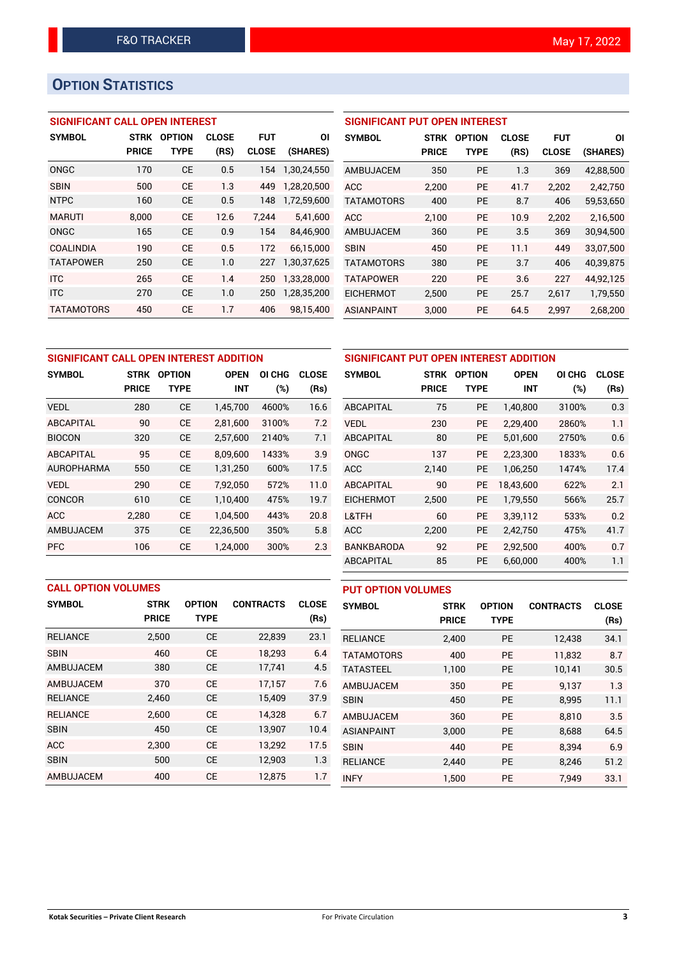# **OPTION STATISTICS**

## **SIGNIFICANT CALL OPEN INTEREST**

| <b>SYMBOL</b>     | <b>STRK</b>  | <b>OPTION</b> | <b>CLOSE</b> | <b>FUT</b>   | ΟI          |
|-------------------|--------------|---------------|--------------|--------------|-------------|
|                   | <b>PRICE</b> | <b>TYPE</b>   | (RS)         | <b>CLOSE</b> | (SHARES)    |
| ONGC              | 170          | <b>CE</b>     | 0.5          | 154          | 1,30,24,550 |
| <b>SBIN</b>       | 500          | <b>CE</b>     | 1.3          | 449          | 1,28,20,500 |
| <b>NTPC</b>       | 160          | СE            | 0.5          | 148          | 1,72,59,600 |
| <b>MARUTI</b>     | 8.000        | <b>CE</b>     | 12.6         | 7.244        | 5.41.600    |
| ONGC              | 165          | CЕ            | 0.9          | 154          | 84.46.900   |
| <b>COALINDIA</b>  | 190          | <b>CE</b>     | 0.5          | 172          | 66,15,000   |
| <b>TATAPOWER</b>  | 250          | <b>CE</b>     | 1.0          | 227          | 1,30,37,625 |
| <b>ITC</b>        | 265          | <b>CE</b>     | 1.4          | 250          | 1,33,28,000 |
| <b>ITC</b>        | 270          | <b>CE</b>     | 1.0          | 250          | 1,28,35,200 |
| <b>TATAMOTORS</b> | 450          | <b>CE</b>     | 1.7          | 406          | 98,15,400   |

### **SIGNIFICANT PUT OPEN INTEREST**

| <b>SYMBOL</b>     | <b>STRK</b><br><b>PRICE</b> | <b>OPTION</b><br>TYPE | CLOSE<br>(RS) | <b>FUT</b><br><b>CLOSE</b> | ΟI<br>(SHARES) |
|-------------------|-----------------------------|-----------------------|---------------|----------------------------|----------------|
| AMBUJACEM         | 350                         | PF                    | 1.3           | 369                        | 42,88,500      |
| <b>ACC</b>        | 2.200                       | <b>PE</b>             | 41.7          | 2.202                      | 2.42.750       |
| <b>TATAMOTORS</b> | 400                         | PF                    | 8.7           | 406                        | 59,53,650      |
| ACC               | 2.100                       | PF                    | 10.9          | 2.202                      | 2,16,500       |
| AMBUJACEM         | 360                         | PF                    | 3.5           | 369                        | 30,94,500      |
| <b>SBIN</b>       | 450                         | PF                    | 11.1          | 449                        | 33.07.500      |
| <b>TATAMOTORS</b> | 380                         | PF                    | 3.7           | 406                        | 40,39,875      |
| <b>TATAPOWER</b>  | 220                         | PF                    | 3.6           | 227                        | 44,92,125      |
| <b>EICHERMOT</b>  | 2.500                       | <b>PE</b>             | 25.7          | 2,617                      | 1,79,550       |
| ASIANPAINT        | 3,000                       | РE                    | 64.5          | 2,997                      | 2,68,200       |

| SIGNIFICANT CALL OPEN INTEREST ADDITION |              |               |             |        |              |  |  |  |
|-----------------------------------------|--------------|---------------|-------------|--------|--------------|--|--|--|
| <b>SYMBOL</b>                           | <b>STRK</b>  | <b>OPTION</b> | <b>OPEN</b> | OI CHG | <b>CLOSE</b> |  |  |  |
|                                         | <b>PRICE</b> | TYPE          | <b>INT</b>  | (%)    | (Rs)         |  |  |  |
| <b>VEDL</b>                             | 280          | <b>CE</b>     | 1,45,700    | 4600%  | 16.6         |  |  |  |
| <b>ABCAPITAL</b>                        | 90           | <b>CE</b>     | 2,81,600    | 3100%  | 7.2          |  |  |  |
| <b>BIOCON</b>                           | 320          | <b>CE</b>     | 2,57,600    | 2140%  | 7.1          |  |  |  |
| <b>ABCAPITAL</b>                        | 95           | <b>CE</b>     | 8,09,600    | 1433%  | 3.9          |  |  |  |
| <b>AUROPHARMA</b>                       | 550          | <b>CE</b>     | 1,31,250    | 600%   | 17.5         |  |  |  |
| <b>VEDI</b>                             | 290          | <b>CE</b>     | 7,92,050    | 572%   | 11.0         |  |  |  |
| <b>CONCOR</b>                           | 610          | <b>CE</b>     | 1,10,400    | 475%   | 19.7         |  |  |  |
| <b>ACC</b>                              | 2.280        | <b>CE</b>     | 1.04.500    | 443%   | 20.8         |  |  |  |
| AMBUJACEM                               | 375          | <b>CE</b>     | 22,36,500   | 350%   | 5.8          |  |  |  |
| <b>PFC</b>                              | 106          | <b>CE</b>     | 1.24.000    | 300%   | 2.3          |  |  |  |

| SIGNIFICANT PUT OPEN INTEREST ADDITION |              |               |             |        |              |  |  |
|----------------------------------------|--------------|---------------|-------------|--------|--------------|--|--|
| <b>SYMBOL</b>                          | <b>STRK</b>  | <b>OPTION</b> | <b>OPEN</b> | OI CHG | <b>CLOSE</b> |  |  |
|                                        | <b>PRICE</b> | <b>TYPE</b>   | <b>INT</b>  | $(\%)$ | (Rs)         |  |  |
| <b>ABCAPITAL</b>                       | 75           | <b>PE</b>     | 1,40,800    | 3100%  | 0.3          |  |  |
| <b>VEDL</b>                            | 230          | <b>PE</b>     | 2,29,400    | 2860%  | 1.1          |  |  |
| ABCAPITAL                              | 80           | <b>PE</b>     | 5,01,600    | 2750%  | 0.6          |  |  |
| ONGC                                   | 137          | <b>PE</b>     | 2,23,300    | 1833%  | 0.6          |  |  |
| <b>ACC</b>                             | 2,140        | <b>PE</b>     | 1,06,250    | 1474%  | 17.4         |  |  |
| ABCAPITAL                              | 90           | <b>PE</b>     | 18,43,600   | 622%   | 2.1          |  |  |
| <b>EICHERMOT</b>                       | 2,500        | <b>PE</b>     | 1,79,550    | 566%   | 25.7         |  |  |
| L&TFH                                  | 60           | <b>PE</b>     | 3,39,112    | 533%   | 0.2          |  |  |
| <b>ACC</b>                             | 2,200        | <b>PE</b>     | 2,42,750    | 475%   | 41.7         |  |  |
| <b>BANKBARODA</b>                      | 92           | <b>PE</b>     | 2,92,500    | 400%   | 0.7          |  |  |
| ABCAPITAL                              | 85           | <b>PE</b>     | 6,60,000    | 400%   | 1.1          |  |  |

#### **PUT OPTION VOLUMES**

| <b>CALL OPTION VOLUMES</b> |              |               |                  |              |  |  |  |  |
|----------------------------|--------------|---------------|------------------|--------------|--|--|--|--|
| <b>SYMBOL</b>              | <b>STRK</b>  | <b>OPTION</b> | <b>CONTRACTS</b> | <b>CLOSE</b> |  |  |  |  |
|                            | <b>PRICE</b> | <b>TYPE</b>   |                  | (Rs)         |  |  |  |  |
| <b>RELIANCE</b>            | 2,500        | <b>CE</b>     | 22,839           | 23.1         |  |  |  |  |
| <b>SBIN</b>                | 460          | <b>CE</b>     | 18,293           | 6.4          |  |  |  |  |
| AMBUJACEM                  | 380          | <b>CE</b>     | 17,741           | 4.5          |  |  |  |  |
| AMBUJACEM                  | 370          | <b>CE</b>     | 17.157           | 7.6          |  |  |  |  |
| <b>RELIANCE</b>            | 2.460        | <b>CE</b>     | 15.409           | 37.9         |  |  |  |  |
| <b>RELIANCE</b>            | 2,600        | <b>CE</b>     | 14,328           | 6.7          |  |  |  |  |
| <b>SBIN</b>                | 450          | <b>CE</b>     | 13,907           | 10.4         |  |  |  |  |
| <b>ACC</b>                 | 2,300        | <b>CE</b>     | 13,292           | 17.5         |  |  |  |  |
| <b>SBIN</b>                | 500          | <b>CE</b>     | 12,903           | 1.3          |  |  |  |  |
| AMBUJACEM                  | 400          | СE            | 12.875           | 1.7          |  |  |  |  |

| 11011 Y QLU11U    |              |               |                  |              |
|-------------------|--------------|---------------|------------------|--------------|
| <b>SYMBOL</b>     | <b>STRK</b>  | <b>OPTION</b> | <b>CONTRACTS</b> | <b>CLOSE</b> |
|                   | <b>PRICE</b> | <b>TYPE</b>   |                  | (Rs)         |
| <b>RELIANCE</b>   | 2,400        | <b>PE</b>     | 12,438           | 34.1         |
| <b>TATAMOTORS</b> | 400          | <b>PE</b>     | 11,832           | 8.7          |
| <b>TATASTEEL</b>  | 1,100        | <b>PE</b>     | 10.141           | 30.5         |
| AMBUJACEM         | 350          | <b>PE</b>     | 9.137            | 1.3          |
| <b>SBIN</b>       | 450          | <b>PE</b>     | 8,995            | 11.1         |
| AMBUJACEM         | 360          | <b>PE</b>     | 8,810            | 3.5          |
| <b>ASIANPAINT</b> | 3,000        | <b>PE</b>     | 8,688            | 64.5         |
| <b>SBIN</b>       | 440          | <b>PE</b>     | 8,394            | 6.9          |
| <b>RELIANCE</b>   | 2.440        | <b>PE</b>     | 8,246            | 51.2         |
| <b>INFY</b>       | 1,500        | <b>PE</b>     | 7.949            | 33.1         |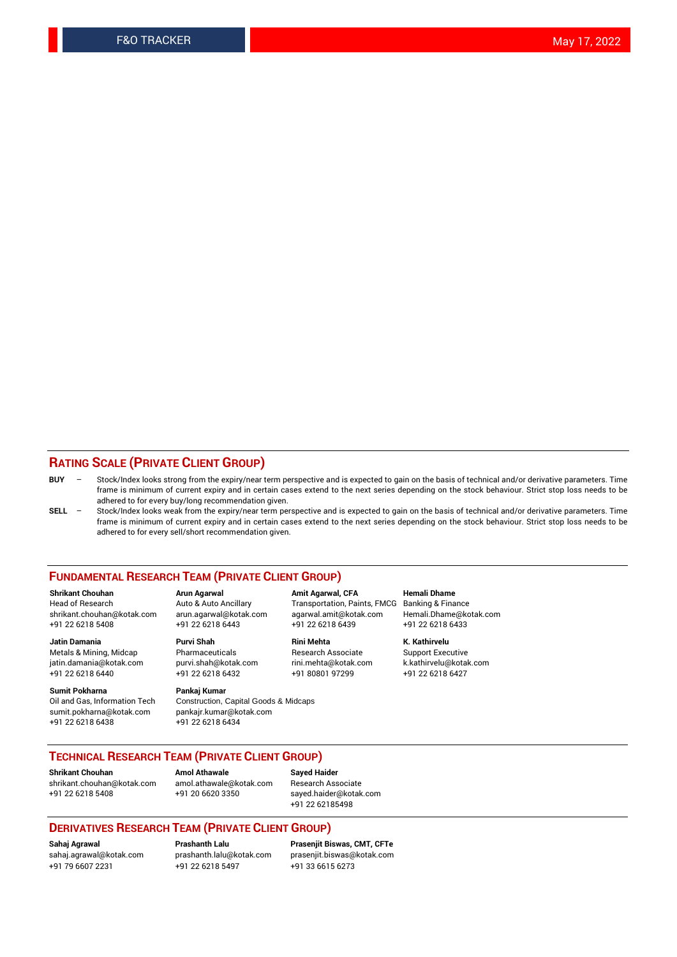#### **RATING SCALE (PRIVATE CLIENT GROUP)**

- **BUY**  Stock/Index looks strong from the expiry/near term perspective and is expected to gain on the basis of technical and/or derivative parameters. Time frame is minimum of current expiry and in certain cases extend to the next series depending on the stock behaviour. Strict stop loss needs to be adhered to for every buy/long recommendation given.
- **SELL** Stock/Index looks weak from the expiry/near term perspective and is expected to gain on the basis of technical and/or derivative parameters. Time frame is minimum of current expiry and in certain cases extend to the next series depending on the stock behaviour. Strict stop loss needs to be adhered to for every sell/short recommendation given.

#### **FUNDAMENTAL RESEARCH TEAM (PRIVATE CLIENT GROUP)**

**Shrikant Chouhan Arun Agarwal Amit Agarwal, CFA Hemali Dhame** shrikant.chouhan@kotak.com arun.agarwal@kotak.com agarwal.amit@kotak.com Hemali.Dhame@kotak.com +91 22 6218 5408 +91 22 6218 6443 +91 22 6218 6439 +91 22 6218 6433

Metals & Mining, Midcap Pharmaceuticals Pharmaceuticals Research Associate Support Executive<br>
iatin.damania@kotak.com purvi.shah@kotak.com rini.mehta@kotak.com k.kathirvelu@kotak.com jatin.damania@kotak.com

**Sumit Pokharna** Pankaj Kumar<br>Oil and Gas, Information Tech Construction, Q sumit.pokharna@kotak.com pankajr.kumar@kotak.com +91 22 6218 6438 +91 22 6218 6434

**Jatin Damania Purvi Shah Rini Mehta K. Kathirvelu**

Construction, Capital Goods & Midcaps

Transportation, Paints, FMCG

+91 22 6218 6440 +91 22 6218 6432 +91 80801 97299 +91 22 6218 6427

#### **TECHNICAL RESEARCH TEAM (PRIVATE CLIENT GROUP)**

**Shrikant Chouhan Amol Athawale Sayed Haider** [shrikant.chouhan@kotak.com](mailto:shrikant.chouhan@kotak.com) [amol.athawale@kotak.com](mailto:amol.athawale@kotak.com) Research Associate +91 22 6218 5408 +91 20 6620 3350 [sayed.haider@kotak.com](mailto:sayed.haider@kotak.com)

+91 22 62185498

#### **DERIVATIVES RESEARCH TEAM (PRIVATE CLIENT GROUP)**

+91 79 6607 2231 +91 22 6218 5497 +91 33 6615 6273

**Sahaj Agrawal Prashanth Lalu Prasenjit Biswas, CMT, CFTe** [prasenjit.biswas@kotak.com](mailto:prasenjit.biswas@kotak.com)